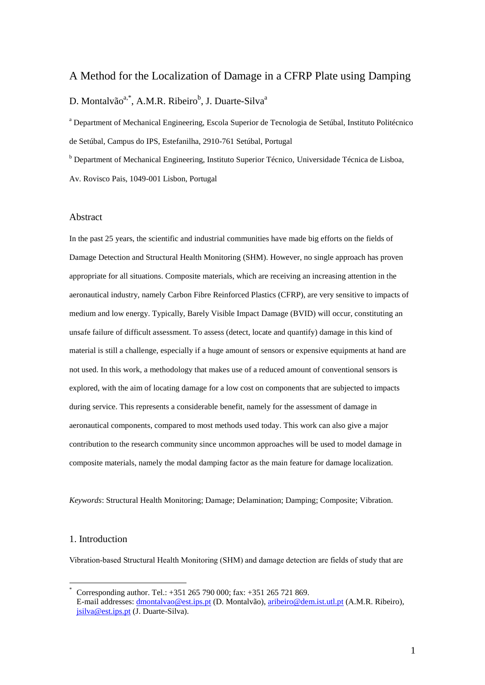## A Method for the Localization of Damage in a CFRP Plate using Damping

# D. Montalvão<sup>a,\*</sup>, A.M.R. Ribeiro<sup>b</sup>, J. Duarte-Silva<sup>a</sup>

<sup>a</sup> Department of Mechanical Engineering, Escola Superior de Tecnologia de Setúbal, Instituto Politécnico de Setúbal, Campus do IPS, Estefanilha, 2910-761 Setúbal, Portugal

<sup>b</sup> Department of Mechanical Engineering, Instituto Superior Técnico, Universidade Técnica de Lisboa, Av. Rovisco Pais, 1049-001 Lisbon, Portugal

### Abstract

In the past 25 years, the scientific and industrial communities have made big efforts on the fields of Damage Detection and Structural Health Monitoring (SHM). However, no single approach has proven appropriate for all situations. Composite materials, which are receiving an increasing attention in the aeronautical industry, namely Carbon Fibre Reinforced Plastics (CFRP), are very sensitive to impacts of medium and low energy. Typically, Barely Visible Impact Damage (BVID) will occur, constituting an unsafe failure of difficult assessment. To assess (detect, locate and quantify) damage in this kind of material is still a challenge, especially if a huge amount of sensors or expensive equipments at hand are not used. In this work, a methodology that makes use of a reduced amount of conventional sensors is explored, with the aim of locating damage for a low cost on components that are subjected to impacts during service. This represents a considerable benefit, namely for the assessment of damage in aeronautical components, compared to most methods used today. This work can also give a major contribution to the research community since uncommon approaches will be used to model damage in composite materials, namely the modal damping factor as the main feature for damage localization.

*Keywords*: Structural Health Monitoring; Damage; Delamination; Damping; Composite; Vibration.

### 1. Introduction

1

Vibration-based Structural Health Monitoring (SHM) and damage detection are fields of study that are

Corresponding author. Tel.: +351 265 790 000; fax: +351 265 721 869. E-mail addresses: [dmontalvao@est.ips.pt](mailto:dmontalvao@est.ips.pt) (D. Montalvão), [aribeiro@dem.ist.utl.pt](mailto:aribeiro@dem.ist.utl.pt) (A.M.R. Ribeiro), [jsilva@est.ips.pt](mailto:jsilva@est.ips.pt) (J. Duarte-Silva).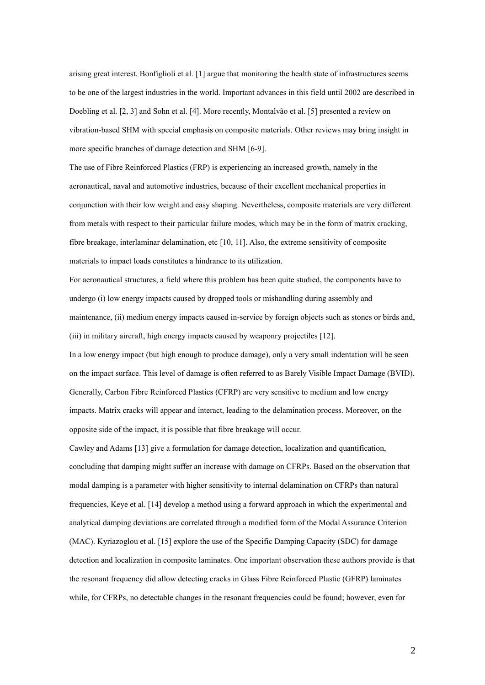arising great interest. Bonfiglioli et al. [1] argue that monitoring the health state of infrastructures seems to be one of the largest industries in the world. Important advances in this field until 2002 are described in Doebling et al. [2, 3] and Sohn et al. [4]. More recently, Montalvão et al. [5] presented a review on vibration-based SHM with special emphasis on composite materials. Other reviews may bring insight in more specific branches of damage detection and SHM [6-9].

The use of Fibre Reinforced Plastics (FRP) is experiencing an increased growth, namely in the aeronautical, naval and automotive industries, because of their excellent mechanical properties in conjunction with their low weight and easy shaping. Nevertheless, composite materials are very different from metals with respect to their particular failure modes, which may be in the form of matrix cracking, fibre breakage, interlaminar delamination, etc [10, 11]. Also, the extreme sensitivity of composite materials to impact loads constitutes a hindrance to its utilization.

For aeronautical structures, a field where this problem has been quite studied, the components have to undergo (i) low energy impacts caused by dropped tools or mishandling during assembly and maintenance, (ii) medium energy impacts caused in-service by foreign objects such as stones or birds and, (iii) in military aircraft, high energy impacts caused by weaponry projectiles [12].

In a low energy impact (but high enough to produce damage), only a very small indentation will be seen on the impact surface. This level of damage is often referred to as Barely Visible Impact Damage (BVID). Generally, Carbon Fibre Reinforced Plastics (CFRP) are very sensitive to medium and low energy impacts. Matrix cracks will appear and interact, leading to the delamination process. Moreover, on the opposite side of the impact, it is possible that fibre breakage will occur.

Cawley and Adams [13] give a formulation for damage detection, localization and quantification, concluding that damping might suffer an increase with damage on CFRPs. Based on the observation that modal damping is a parameter with higher sensitivity to internal delamination on CFRPs than natural frequencies, Keye et al. [14] develop a method using a forward approach in which the experimental and analytical damping deviations are correlated through a modified form of the Modal Assurance Criterion (MAC). Kyriazoglou et al. [15] explore the use of the Specific Damping Capacity (SDC) for damage detection and localization in composite laminates. One important observation these authors provide is that the resonant frequency did allow detecting cracks in Glass Fibre Reinforced Plastic (GFRP) laminates while, for CFRPs, no detectable changes in the resonant frequencies could be found; however, even for

2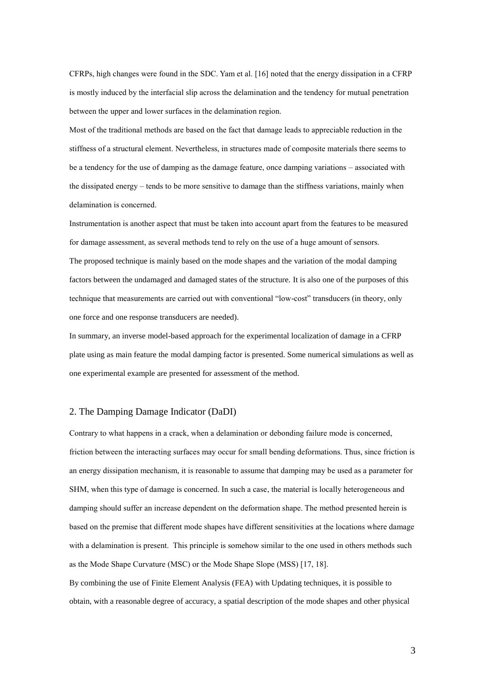CFRPs, high changes were found in the SDC. Yam et al. [16] noted that the energy dissipation in a CFRP is mostly induced by the interfacial slip across the delamination and the tendency for mutual penetration between the upper and lower surfaces in the delamination region.

Most of the traditional methods are based on the fact that damage leads to appreciable reduction in the stiffness of a structural element. Nevertheless, in structures made of composite materials there seems to be a tendency for the use of damping as the damage feature, once damping variations – associated with the dissipated energy – tends to be more sensitive to damage than the stiffness variations, mainly when delamination is concerned.

Instrumentation is another aspect that must be taken into account apart from the features to be measured for damage assessment, as several methods tend to rely on the use of a huge amount of sensors. The proposed technique is mainly based on the mode shapes and the variation of the modal damping factors between the undamaged and damaged states of the structure. It is also one of the purposes of this technique that measurements are carried out with conventional "low-cost" transducers (in theory, only one force and one response transducers are needed).

In summary, an inverse model-based approach for the experimental localization of damage in a CFRP plate using as main feature the modal damping factor is presented. Some numerical simulations as well as one experimental example are presented for assessment of the method.

### 2. The Damping Damage Indicator (DaDI)

Contrary to what happens in a crack, when a delamination or debonding failure mode is concerned, friction between the interacting surfaces may occur for small bending deformations. Thus, since friction is an energy dissipation mechanism, it is reasonable to assume that damping may be used as a parameter for SHM, when this type of damage is concerned. In such a case, the material is locally heterogeneous and damping should suffer an increase dependent on the deformation shape. The method presented herein is based on the premise that different mode shapes have different sensitivities at the locations where damage with a delamination is present. This principle is somehow similar to the one used in others methods such as the Mode Shape Curvature (MSC) or the Mode Shape Slope (MSS) [17, 18].

By combining the use of Finite Element Analysis (FEA) with Updating techniques, it is possible to obtain, with a reasonable degree of accuracy, a spatial description of the mode shapes and other physical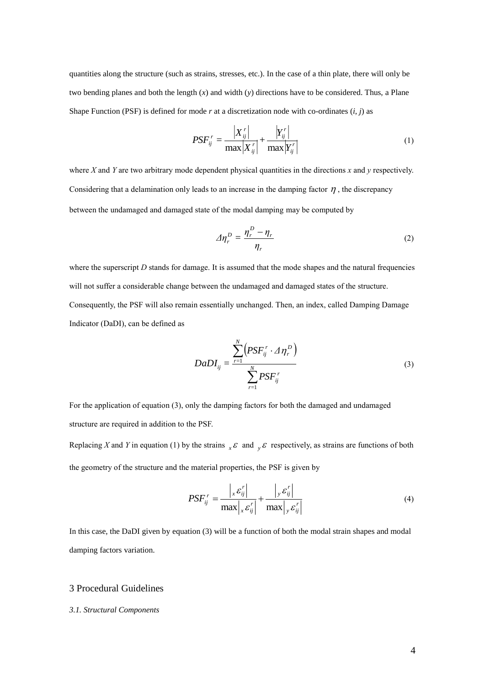quantities along the structure (such as strains, stresses, etc.). In the case of a thin plate, there will only be two bending planes and both the length (*x*) and width (*y*) directions have to be considered. Thus, a Plane Shape Function (PSF) is defined for mode  $r$  at a discretization node with co-ordinates  $(i, j)$  as

$$
PSF_{ij}^r = \frac{\left|X_{ij}^r\right|}{\max\left|X_{ij}^r\right|} + \frac{\left|Y_{ij}^r\right|}{\max\left|Y_{ij}^r\right|} \tag{1}
$$

where *X* and *Y* are two arbitrary mode dependent physical quantities in the directions *x* and *y* respectively. Considering that a delamination only leads to an increase in the damping factor  $\eta$ , the discrepancy between the undamaged and damaged state of the modal damping may be computed by

$$
\varDelta \eta_r^D = \frac{\eta_r^D - \eta_r}{\eta_r} \tag{2}
$$

where the superscript *D* stands for damage. It is assumed that the mode shapes and the natural frequencies will not suffer a considerable change between the undamaged and damaged states of the structure. Consequently, the PSF will also remain essentially unchanged. Then, an index, called Damping Damage Indicator (DaDI), can be defined as

$$
DaDI_{ij} = \frac{\sum_{r=1}^{N} \left( PSF_{ij}^{r} \cdot \Delta \eta_{r}^{D} \right)}{\sum_{r=1}^{N} PSF_{ij}^{r}}
$$
(3)

For the application of equation (3), only the damping factors for both the damaged and undamaged structure are required in addition to the PSF.

Replacing *X* and *Y* in equation (1) by the strains  ${}_{x}E$  and  ${}_{y}E$  respectively, as strains are functions of both the geometry of the structure and the material properties, the PSF is given by

$$
PSF_{ij}^r = \frac{\left| \mathbf{x} \mathbf{\varepsilon}_{ij}^r \right|}{\max \left| \mathbf{x} \mathbf{\varepsilon}_{ij}^r \right|} + \frac{\left| \mathbf{y} \mathbf{\varepsilon}_{ij}^r \right|}{\max \left| \mathbf{y} \mathbf{\varepsilon}_{ij}^r \right|}
$$
(4)

In this case, the DaDI given by equation (3) will be a function of both the modal strain shapes and modal damping factors variation.

## 3 Procedural Guidelines

#### *3.1. Structural Components*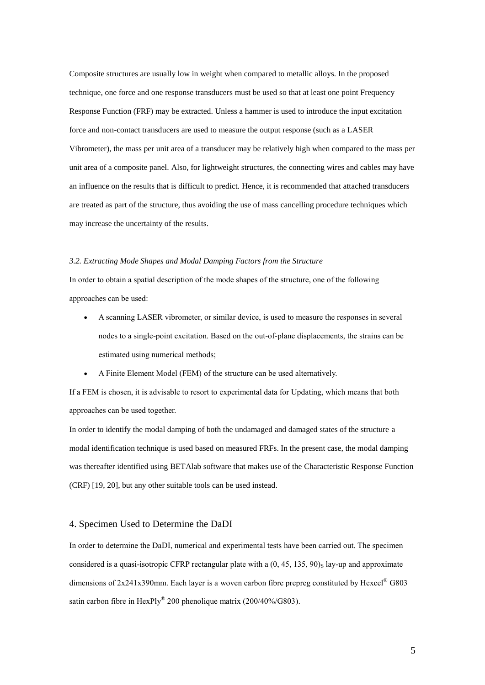Composite structures are usually low in weight when compared to metallic alloys. In the proposed technique, one force and one response transducers must be used so that at least one point Frequency Response Function (FRF) may be extracted. Unless a hammer is used to introduce the input excitation force and non-contact transducers are used to measure the output response (such as a LASER Vibrometer), the mass per unit area of a transducer may be relatively high when compared to the mass per unit area of a composite panel. Also, for lightweight structures, the connecting wires and cables may have an influence on the results that is difficult to predict. Hence, it is recommended that attached transducers are treated as part of the structure, thus avoiding the use of mass cancelling procedure techniques which may increase the uncertainty of the results.

#### *3.2. Extracting Mode Shapes and Modal Damping Factors from the Structure*

In order to obtain a spatial description of the mode shapes of the structure, one of the following approaches can be used:

- A scanning LASER vibrometer, or similar device, is used to measure the responses in several nodes to a single-point excitation. Based on the out-of-plane displacements, the strains can be estimated using numerical methods;
- A Finite Element Model (FEM) of the structure can be used alternatively.

If a FEM is chosen, it is advisable to resort to experimental data for Updating, which means that both approaches can be used together.

In order to identify the modal damping of both the undamaged and damaged states of the structure a modal identification technique is used based on measured FRFs. In the present case, the modal damping was thereafter identified using BETAlab software that makes use of the Characteristic Response Function (CRF) [19, 20], but any other suitable tools can be used instead.

### 4. Specimen Used to Determine the DaDI

In order to determine the DaDI, numerical and experimental tests have been carried out. The specimen considered is a quasi-isotropic CFRP rectangular plate with a  $(0, 45, 135, 90)$ <sub>S</sub> lay-up and approximate dimensions of  $2x241x390$ mm. Each layer is a woven carbon fibre prepreg constituted by Hexcel<sup>®</sup> G803 satin carbon fibre in HexPly<sup>®</sup> 200 phenolique matrix (200/40%/G803).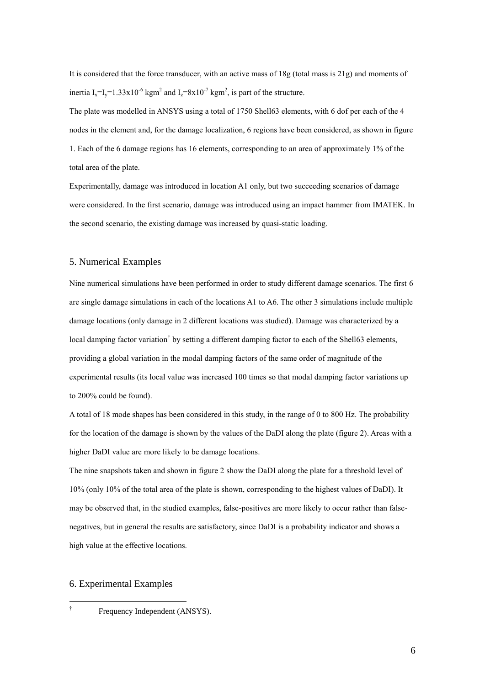It is considered that the force transducer, with an active mass of 18g (total mass is 21g) and moments of inertia  $I_x = I_y = 1.33 \times 10^{-6}$  kgm<sup>2</sup> and  $I_z = 8 \times 10^{-7}$  kgm<sup>2</sup>, is part of the structure.

The plate was modelled in ANSYS using a total of 1750 Shell63 elements, with 6 dof per each of the 4 nodes in the element and, for the damage localization, 6 regions have been considered, as shown in figure 1. Each of the 6 damage regions has 16 elements, corresponding to an area of approximately 1% of the total area of the plate.

Experimentally, damage was introduced in location A1 only, but two succeeding scenarios of damage were considered. In the first scenario, damage was introduced using an impact hammer from IMATEK. In the second scenario, the existing damage was increased by quasi-static loading.

## 5. Numerical Examples

Nine numerical simulations have been performed in order to study different damage scenarios. The first 6 are single damage simulations in each of the locations A1 to A6. The other 3 simulations include multiple damage locations (only damage in 2 different locations was studied). Damage was characterized by a local damping factor variation<sup>†</sup> by setting a different damping factor to each of the Shell63 elements, providing a global variation in the modal damping factors of the same order of magnitude of the experimental results (its local value was increased 100 times so that modal damping factor variations up to 200% could be found).

A total of 18 mode shapes has been considered in this study, in the range of 0 to 800 Hz. The probability for the location of the damage is shown by the values of the DaDI along the plate (figure 2). Areas with a higher DaDI value are more likely to be damage locations.

The nine snapshots taken and shown in figure 2 show the DaDI along the plate for a threshold level of 10% (only 10% of the total area of the plate is shown, corresponding to the highest values of DaDI). It may be observed that, in the studied examples, false-positives are more likely to occur rather than falsenegatives, but in general the results are satisfactory, since DaDI is a probability indicator and shows a high value at the effective locations.

#### 6. Experimental Examples

†<br>−

Frequency Independent (ANSYS).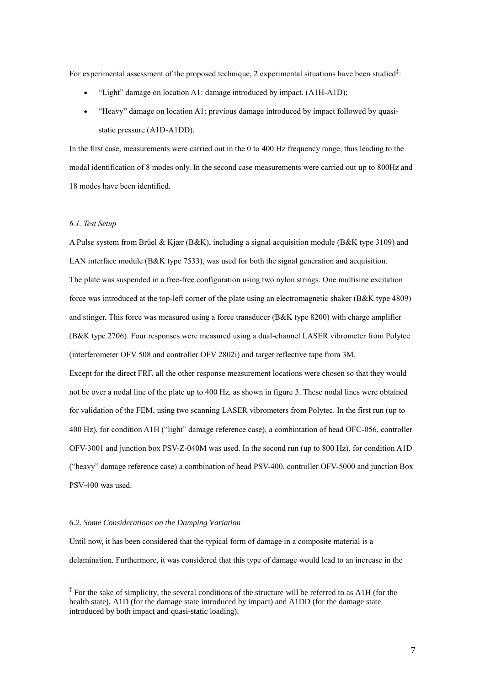For experimental assessment of the proposed technique, 2 experimental situations have been studied $\ddot{\cdot}$ :

- "Light" damage on location A1: damage introduced by impact. (A1H-A1D);
- "Heavy" damage on location A1: previous damage introduced by impact followed by quasistatic pressure (A1D-A1DD).

In the first case, measurements were carried out in the 0 to 400 Hz frequency range, thus leading to the modal identification of 8 modes only. In the second case measurements were carried out up to 800Hz and 18 modes have been identified.

#### *6.1. Test Setup*

1

A Pulse system from Brüel & Kjær (B&K), including a signal acquisition module (B&K type 3109) and LAN interface module (B&K type 7533), was used for both the signal generation and acquisition. The plate was suspended in a free-free configuration using two nylon strings. One multisine excitation force was introduced at the top-left corner of the plate using an electromagnetic shaker (B&K type 4809) and stinger. This force was measured using a force transducer (B&K type 8200) with charge amplifier (B&K type 2706). Four responses were measured using a dual-channel LASER vibrometer from Polytec (interferometer OFV 508 and controller OFV 2802i) and target reflective tape from 3M. Except for the direct FRF, all the other response measurement locations were chosen so that they would not be over a nodal line of the plate up to 400 Hz, as shown in figure 3. These nodal lines were obtained for validation of the FEM, using two scanning LASER vibrometers from Polytec. In the first run (up to 400 Hz), for condition A1H ("light" damage reference case), a combintation of head OFC-056, controller OFV-3001 and junction box PSV-Z-040M was used. In the second run (up to 800 Hz), for condition A1D ("heavy" damage reference case) a combination of head PSV-400, controller OFV-5000 and junction Box PSV-400 was used.

#### *6.2. Some Considerations on the Damping Variation*

Until now, it has been considered that the typical form of damage in a composite material is a delamination. Furthermore, it was considered that this type of damage would lead to an increase in the

<sup>&</sup>lt;sup>‡</sup> For the sake of simplicity, the several conditions of the structure will be referred to as A1H (for the health state), A1D (for the damage state introduced by impact) and A1DD (for the damage state introduced by both impact and quasi-static loading).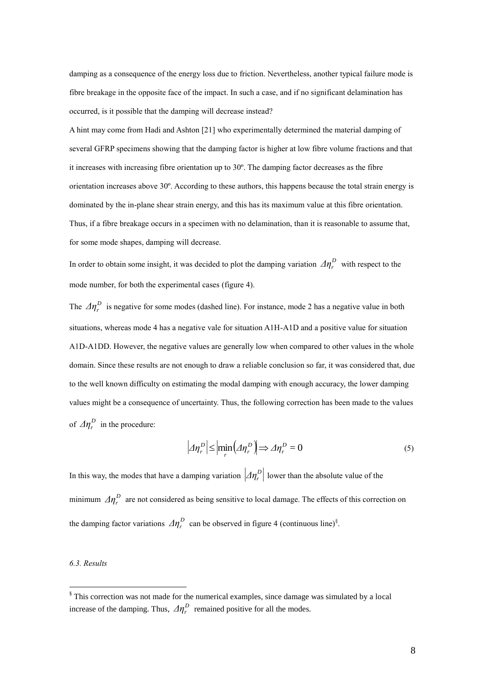damping as a consequence of the energy loss due to friction. Nevertheless, another typical failure mode is fibre breakage in the opposite face of the impact. In such a case, and if no significant delamination has occurred, is it possible that the damping will decrease instead?

A hint may come from Hadi and Ashton [21] who experimentally determined the material damping of several GFRP specimens showing that the damping factor is higher at low fibre volume fractions and that it increases with increasing fibre orientation up to 30º. The damping factor decreases as the fibre orientation increases above 30º. According to these authors, this happens because the total strain energy is dominated by the in-plane shear strain energy, and this has its maximum value at this fibre orientation. Thus, if a fibre breakage occurs in a specimen with no delamination, than it is reasonable to assume that, for some mode shapes, damping will decrease.

In order to obtain some insight, it was decided to plot the damping variation  $\Delta \eta_r^D$  with respect to the mode number, for both the experimental cases (figure 4).

The  $\Delta \eta_r^D$  is negative for some modes (dashed line). For instance, mode 2 has a negative value in both situations, whereas mode 4 has a negative vale for situation A1H-A1D and a positive value for situation A1D-A1DD. However, the negative values are generally low when compared to other values in the whole domain. Since these results are not enough to draw a reliable conclusion so far, it was considered that, due to the well known difficulty on estimating the modal damping with enough accuracy, the lower damping values might be a consequence of uncertainty. Thus, the following correction has been made to the values of  $\Delta \eta_r^D$  in the procedure:

$$
\left| \Delta \eta_r^{\,D} \right| \le \left| \min_r \left( \Delta \eta_r^{\,D} \right) \right| \Rightarrow \Delta \eta_r^{\,D} = 0 \tag{5}
$$

In this way, the modes that have a damping variation  $\left|\mathcal{A}\eta_r^D\right|$  lower than the absolute value of the minimum  $\Delta \eta_r^D$  are not considered as being sensitive to local damage. The effects of this correction on the damping factor variations  $\Delta \eta_r^D$  can be observed in figure 4 (continuous line)<sup>§</sup>.

#### *6.3. Results*

<u>.</u>

 $\frac{1}{3}$  This correction was not made for the numerical examples, since damage was simulated by a local increase of the damping. Thus,  $\Delta \eta_r^D$  remained positive for all the modes.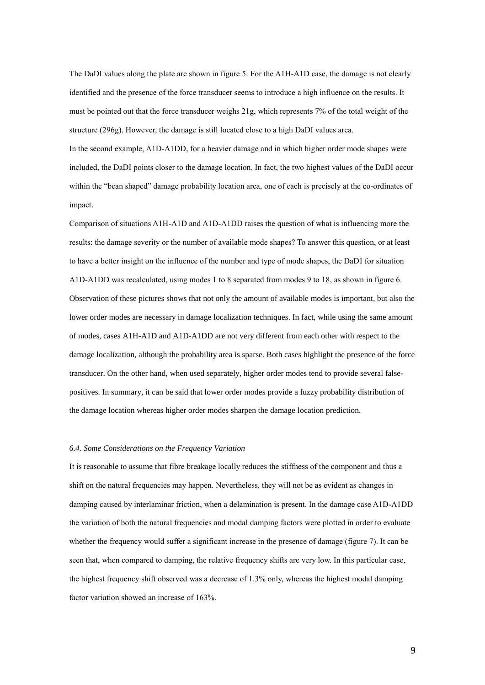The DaDI values along the plate are shown in figure 5. For the A1H-A1D case, the damage is not clearly identified and the presence of the force transducer seems to introduce a high influence on the results. It must be pointed out that the force transducer weighs 21g, which represents 7% of the total weight of the structure (296g). However, the damage is still located close to a high DaDI values area. In the second example, A1D-A1DD, for a heavier damage and in which higher order mode shapes were included, the DaDI points closer to the damage location. In fact, the two highest values of the DaDI occur within the "bean shaped" damage probability location area, one of each is precisely at the co-ordinates of impact.

Comparison of situations A1H-A1D and A1D-A1DD raises the question of what is influencing more the results: the damage severity or the number of available mode shapes? To answer this question, or at least to have a better insight on the influence of the number and type of mode shapes, the DaDI for situation A1D-A1DD was recalculated, using modes 1 to 8 separated from modes 9 to 18, as shown in figure 6. Observation of these pictures shows that not only the amount of available modes is important, but also the lower order modes are necessary in damage localization techniques. In fact, while using the same amount of modes, cases A1H-A1D and A1D-A1DD are not very different from each other with respect to the damage localization, although the probability area is sparse. Both cases highlight the presence of the force transducer. On the other hand, when used separately, higher order modes tend to provide several falsepositives. In summary, it can be said that lower order modes provide a fuzzy probability distribution of the damage location whereas higher order modes sharpen the damage location prediction.

#### *6.4. Some Considerations on the Frequency Variation*

It is reasonable to assume that fibre breakage locally reduces the stiffness of the component and thus a shift on the natural frequencies may happen. Nevertheless, they will not be as evident as changes in damping caused by interlaminar friction, when a delamination is present. In the damage case A1D-A1DD the variation of both the natural frequencies and modal damping factors were plotted in order to evaluate whether the frequency would suffer a significant increase in the presence of damage (figure 7). It can be seen that, when compared to damping, the relative frequency shifts are very low. In this particular case, the highest frequency shift observed was a decrease of 1.3% only, whereas the highest modal damping factor variation showed an increase of 163%.

9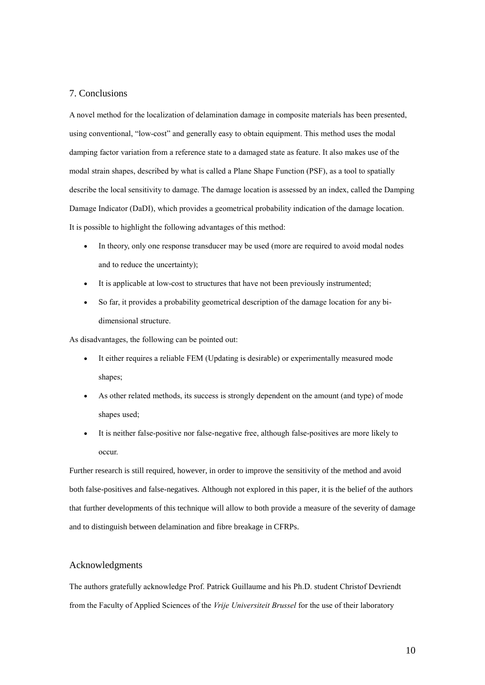### 7. Conclusions

A novel method for the localization of delamination damage in composite materials has been presented, using conventional, "low-cost" and generally easy to obtain equipment. This method uses the modal damping factor variation from a reference state to a damaged state as feature. It also makes use of the modal strain shapes, described by what is called a Plane Shape Function (PSF), as a tool to spatially describe the local sensitivity to damage. The damage location is assessed by an index, called the Damping Damage Indicator (DaDI), which provides a geometrical probability indication of the damage location. It is possible to highlight the following advantages of this method:

- In theory, only one response transducer may be used (more are required to avoid modal nodes and to reduce the uncertainty);
- It is applicable at low-cost to structures that have not been previously instrumented;
- So far, it provides a probability geometrical description of the damage location for any bidimensional structure.

As disadvantages, the following can be pointed out:

- It either requires a reliable FEM (Updating is desirable) or experimentally measured mode shapes;
- As other related methods, its success is strongly dependent on the amount (and type) of mode shapes used;
- It is neither false-positive nor false-negative free, although false-positives are more likely to occur.

Further research is still required, however, in order to improve the sensitivity of the method and avoid both false-positives and false-negatives. Although not explored in this paper, it is the belief of the authors that further developments of this technique will allow to both provide a measure of the severity of damage and to distinguish between delamination and fibre breakage in CFRPs.

#### Acknowledgments

The authors gratefully acknowledge Prof. Patrick Guillaume and his Ph.D. student Christof Devriendt from the Faculty of Applied Sciences of the *Vrije Universiteit Brussel* for the use of their laboratory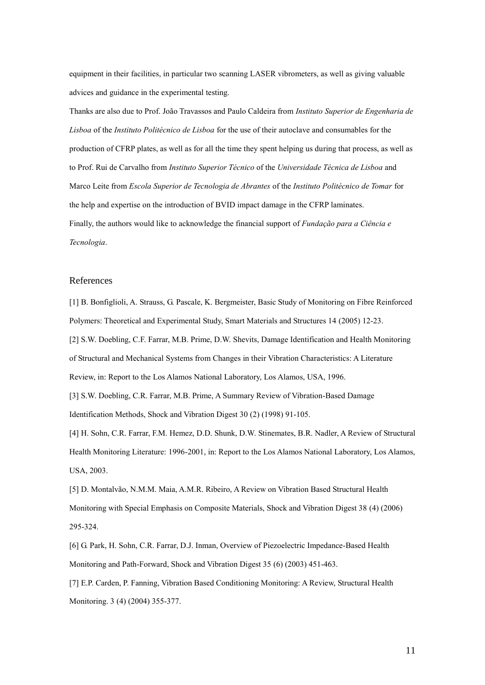equipment in their facilities, in particular two scanning LASER vibrometers, as well as giving valuable advices and guidance in the experimental testing.

Thanks are also due to Prof. João Travassos and Paulo Caldeira from *Instituto Superior de Engenharia de Lisboa* of the *Instituto Politécnico de Lisboa* for the use of their autoclave and consumables for the production of CFRP plates, as well as for all the time they spent helping us during that process, as well as to Prof. Rui de Carvalho from *Instituto Superior Técnico* of the *Universidade Técnica de Lisboa* and Marco Leite from *Escola Superior de Tecnologia de Abrantes* of the *Instituto Politécnico de Tomar* for the help and expertise on the introduction of BVID impact damage in the CFRP laminates. Finally, the authors would like to acknowledge the financial support of *Fundação para a Ciência e Tecnologia*.

### References

[1] B. Bonfiglioli, A. Strauss, G. Pascale, K. Bergmeister, Basic Study of Monitoring on Fibre Reinforced Polymers: Theoretical and Experimental Study, Smart Materials and Structures 14 (2005) 12-23.

[2] S.W. Doebling, C.F. Farrar, M.B. Prime, D.W. Shevits, Damage Identification and Health Monitoring of Structural and Mechanical Systems from Changes in their Vibration Characteristics: A Literature Review, in: Report to the Los Alamos National Laboratory, Los Alamos, USA, 1996.

[3] S.W. Doebling, C.R. Farrar, M.B. Prime, A Summary Review of Vibration-Based Damage Identification Methods, Shock and Vibration Digest 30 (2) (1998) 91-105.

[4] H. Sohn, C.R. Farrar, F.M. Hemez, D.D. Shunk, D.W. Stinemates, B.R. Nadler, A Review of Structural Health Monitoring Literature: 1996-2001, in: Report to the Los Alamos National Laboratory, Los Alamos, USA, 2003.

[5] D. Montalvão, N.M.M. Maia, A.M.R. Ribeiro, A Review on Vibration Based Structural Health Monitoring with Special Emphasis on Composite Materials, Shock and Vibration Digest 38 (4) (2006) 295-324.

[6] G. Park, H. Sohn, C.R. Farrar, D.J. Inman, Overview of Piezoelectric Impedance-Based Health Monitoring and Path-Forward, Shock and Vibration Digest 35 (6) (2003) 451-463.

[7] E.P. Carden, P. Fanning, Vibration Based Conditioning Monitoring: A Review, Structural Health Monitoring. 3 (4) (2004) 355-377.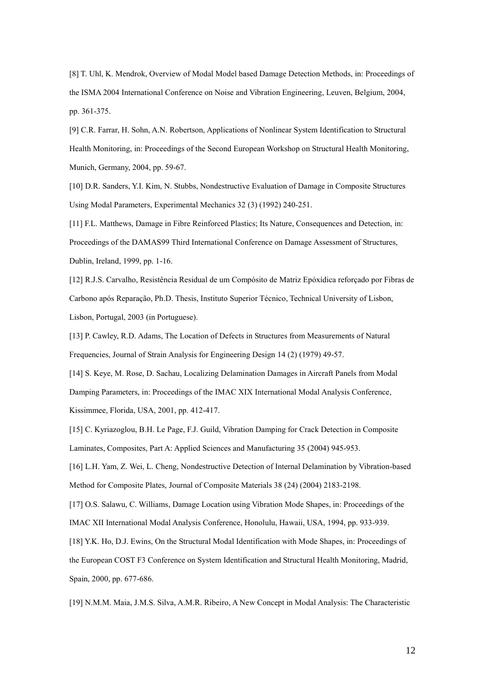[8] T. Uhl, K. Mendrok, Overview of Modal Model based Damage Detection Methods, in: Proceedings of the ISMA 2004 International Conference on Noise and Vibration Engineering, Leuven, Belgium, 2004, pp. 361-375.

[9] C.R. Farrar, H. Sohn, A.N. Robertson, Applications of Nonlinear System Identification to Structural Health Monitoring, in: Proceedings of the Second European Workshop on Structural Health Monitoring, Munich, Germany, 2004, pp. 59-67.

[10] D.R. Sanders, Y.I. Kim, N. Stubbs, Nondestructive Evaluation of Damage in Composite Structures Using Modal Parameters, Experimental Mechanics 32 (3) (1992) 240-251.

[11] F.L. Matthews, Damage in Fibre Reinforced Plastics; Its Nature, Consequences and Detection, in: Proceedings of the DAMAS99 Third International Conference on Damage Assessment of Structures, Dublin, Ireland, 1999, pp. 1-16.

[12] R.J.S. Carvalho, Resistência Residual de um Compósito de Matriz Epóxídica reforçado por Fibras de Carbono após Reparação, Ph.D. Thesis, Instituto Superior Técnico, Technical University of Lisbon, Lisbon, Portugal, 2003 (in Portuguese).

[13] P. Cawley, R.D. Adams, The Location of Defects in Structures from Measurements of Natural Frequencies, Journal of Strain Analysis for Engineering Design 14 (2) (1979) 49-57.

[14] S. Keye, M. Rose, D. Sachau, Localizing Delamination Damages in Aircraft Panels from Modal Damping Parameters, in: Proceedings of the IMAC XIX International Modal Analysis Conference, Kissimmee, Florida, USA, 2001, pp. 412-417.

[15] C. Kyriazoglou, B.H. Le Page, F.J. Guild, Vibration Damping for Crack Detection in Composite Laminates, Composites, Part A: Applied Sciences and Manufacturing 35 (2004) 945-953.

[16] L.H. Yam, Z. Wei, L. Cheng, Nondestructive Detection of Internal Delamination by Vibration-based Method for Composite Plates, Journal of Composite Materials 38 (24) (2004) 2183-2198.

[17] O.S. Salawu, C. Williams, Damage Location using Vibration Mode Shapes, in: Proceedings of the IMAC XII International Modal Analysis Conference, Honolulu, Hawaii, USA, 1994, pp. 933-939.

[18] Y.K. Ho, D.J. Ewins, On the Structural Modal Identification with Mode Shapes, in: Proceedings of the European COST F3 Conference on System Identification and Structural Health Monitoring, Madrid, Spain, 2000, pp. 677-686.

[19] N.M.M. Maia, J.M.S. Silva, A.M.R. Ribeiro, A New Concept in Modal Analysis: The Characteristic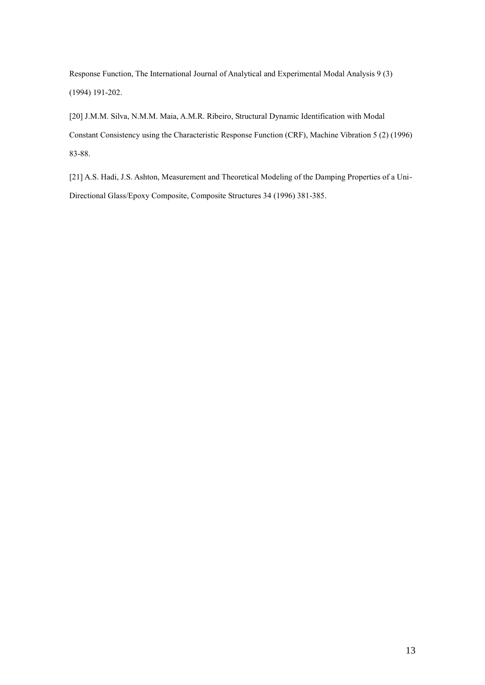Response Function, The International Journal of Analytical and Experimental Modal Analysis 9 (3) (1994) 191-202.

[20] J.M.M. Silva, N.M.M. Maia, A.M.R. Ribeiro, Structural Dynamic Identification with Modal Constant Consistency using the Characteristic Response Function (CRF), Machine Vibration 5 (2) (1996) 83-88.

[21] A.S. Hadi, J.S. Ashton, Measurement and Theoretical Modeling of the Damping Properties of a Uni-Directional Glass/Epoxy Composite, Composite Structures 34 (1996) 381-385.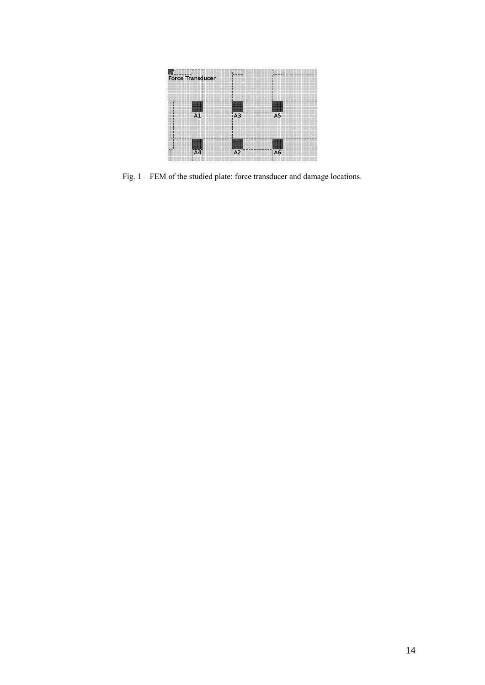

Fig. 1 – FEM of the studied plate: force transducer and damage locations.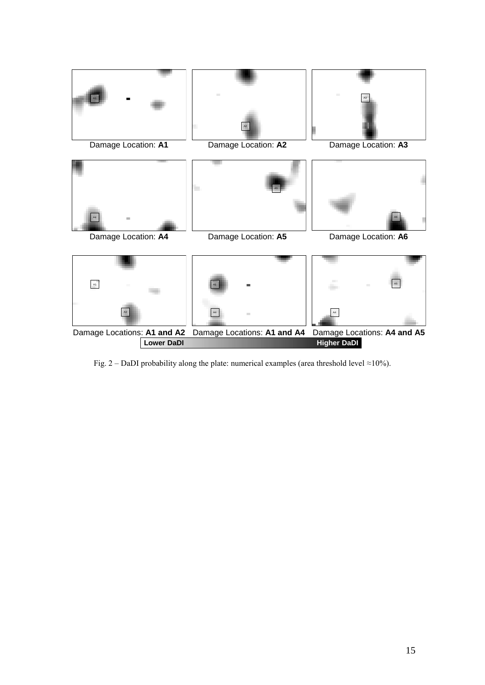

Fig. 2 – DaDI probability along the plate: numerical examples (area threshold level ≈10%).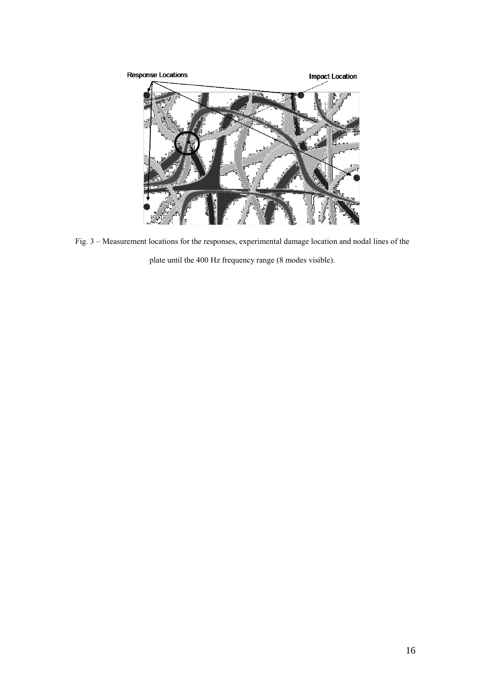

Fig. 3 – Measurement locations for the responses, experimental damage location and nodal lines of the plate until the 400 Hz frequency range (8 modes visible).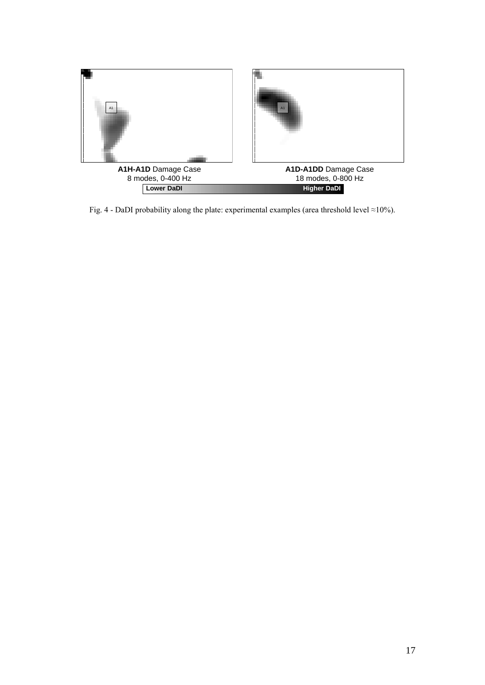

Fig. 4 - DaDI probability along the plate: experimental examples (area threshold level ≈10%).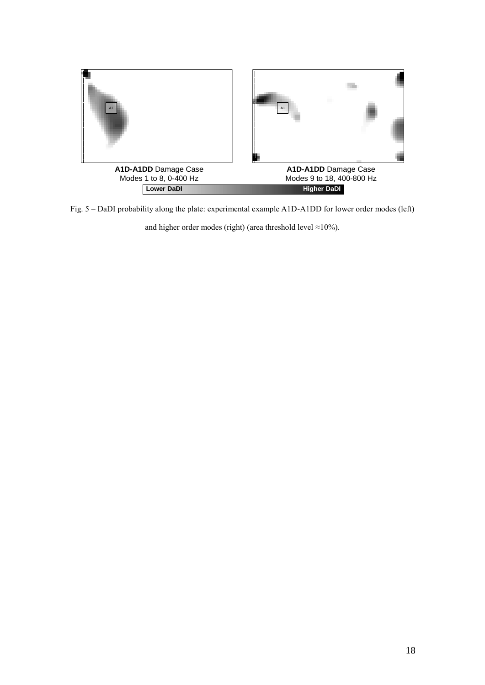

Fig. 5 – DaDI probability along the plate: experimental example A1D-A1DD for lower order modes (left)

and higher order modes (right) (area threshold level  $\approx$ 10%).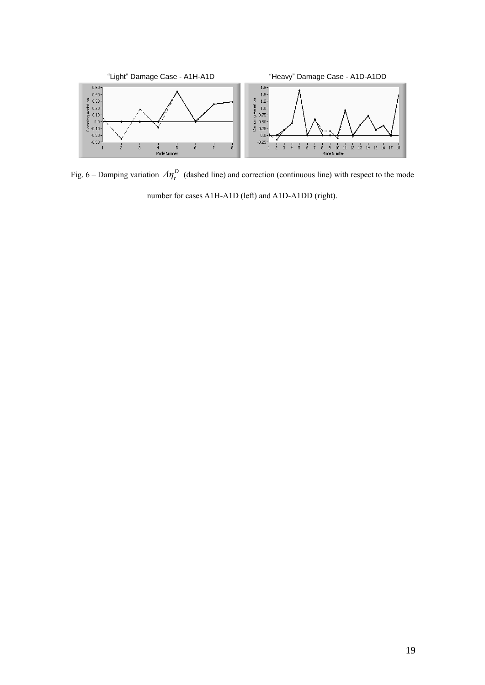

Fig. 6 – Damping variation  $\Delta \eta_r^D$  (dashed line) and correction (continuous line) with respect to the mode number for cases A1H-A1D (left) and A1D-A1DD (right).